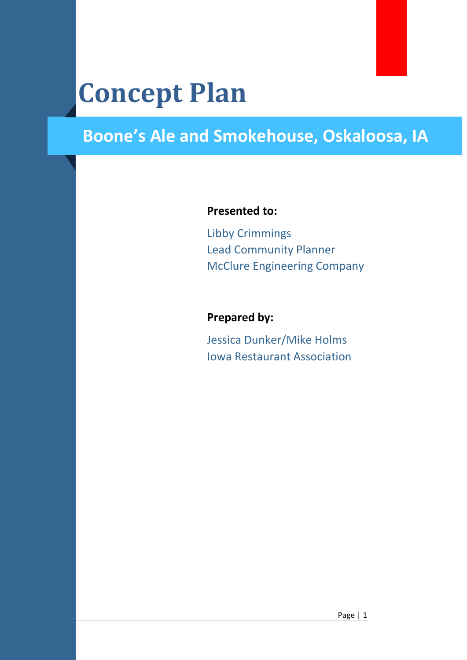# **Concept Plan**

### **Boone's Ale and Smokehouse, Oskaloosa, IA**

#### **Presented to:**

Libby Crimmings Lead Community Planner McClure Engineering Company

#### **Prepared by:**

Jessica Dunker/Mike Holms Iowa Restaurant Association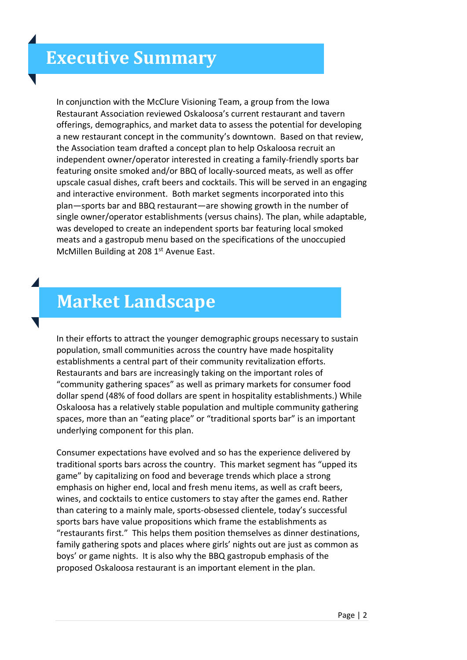In conjunction with the McClure Visioning Team, a group from the Iowa Restaurant Association reviewed Oskaloosa's current restaurant and tavern offerings, demographics, and market data to assess the potential for developing a new restaurant concept in the community's downtown. Based on that review, the Association team drafted a concept plan to help Oskaloosa recruit an independent owner/operator interested in creating a family-friendly sports bar featuring onsite smoked and/or BBQ of locally-sourced meats, as well as offer upscale casual dishes, craft beers and cocktails. This will be served in an engaging and interactive environment. Both market segments incorporated into this plan—sports bar and BBQ restaurant—are showing growth in the number of single owner/operator establishments (versus chains). The plan, while adaptable, was developed to create an independent sports bar featuring local smoked meats and a gastropub menu based on the specifications of the unoccupied McMillen Building at 208 1<sup>st</sup> Avenue East.

#### **Market Landscape**

In their efforts to attract the younger demographic groups necessary to sustain population, small communities across the country have made hospitality establishments a central part of their community revitalization efforts. Restaurants and bars are increasingly taking on the important roles of "community gathering spaces" as well as primary markets for consumer food dollar spend (48% of food dollars are spent in hospitality establishments.) While Oskaloosa has a relatively stable population and multiple community gathering spaces, more than an "eating place" or "traditional sports bar" is an important underlying component for this plan.

Consumer expectations have evolved and so has the experience delivered by traditional sports bars across the country. This market segment has "upped its game" by capitalizing on food and beverage trends which place a strong emphasis on higher end, local and fresh menu items, as well as craft beers, wines, and cocktails to entice customers to stay after the games end. Rather than catering to a mainly male, sports-obsessed clientele, today's successful sports bars have value propositions which frame the establishments as "restaurants first." This helps them position themselves as dinner destinations, family gathering spots and places where girls' nights out are just as common as boys' or game nights. It is also why the BBQ gastropub emphasis of the proposed Oskaloosa restaurant is an important element in the plan.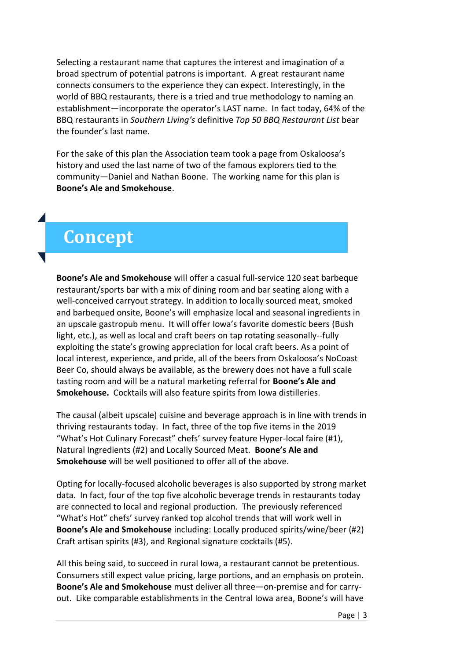Selecting a restaurant name that captures the interest and imagination of a broad spectrum of potential patrons is important. A great restaurant name connects consumers to the experience they can expect. Interestingly, in the world of BBQ restaurants, there is a tried and true methodology to naming an establishment—incorporate the operator's LAST name. In fact today, 64% of the BBQ restaurants in *Southern Living's* definitive *Top 50 BBQ Restaurant List* bear the founder's last name.

For the sake of this plan the Association team took a page from Oskaloosa's history and used the last name of two of the famous explorers tied to the community—Daniel and Nathan Boone. The working name for this plan is **Boone's Ale and Smokehouse**.

#### **Concept**

**Boone's Ale and Smokehouse** will offer a casual full-service 120 seat barbeque restaurant/sports bar with a mix of dining room and bar seating along with a well-conceived carryout strategy. In addition to locally sourced meat, smoked and barbequed onsite, Boone's will emphasize local and seasonal ingredients in an upscale gastropub menu. It will offer Iowa's favorite domestic beers (Bush light, etc.), as well as local and craft beers on tap rotating seasonally--fully exploiting the state's growing appreciation for local craft beers. As a point of local interest, experience, and pride, all of the beers from Oskaloosa's NoCoast Beer Co, should always be available, as the brewery does not have a full scale tasting room and will be a natural marketing referral for **Boone's Ale and Smokehouse.** Cocktails will also feature spirits from Iowa distilleries.

The causal (albeit upscale) cuisine and beverage approach is in line with trends in thriving restaurants today. In fact, three of the top five items in the 2019 "What's Hot Culinary Forecast" chefs' survey feature Hyper-local faire (#1), Natural Ingredients (#2) and Locally Sourced Meat. **Boone's Ale and Smokehouse** will be well positioned to offer all of the above.

Opting for locally-focused alcoholic beverages is also supported by strong market data. In fact, four of the top five alcoholic beverage trends in restaurants today are connected to local and regional production. The previously referenced "What's Hot" chefs' survey ranked top alcohol trends that will work well in **Boone's Ale and Smokehouse** including: Locally produced spirits/wine/beer (#2) Craft artisan spirits (#3), and Regional signature cocktails (#5).

All this being said, to succeed in rural Iowa, a restaurant cannot be pretentious. Consumers still expect value pricing, large portions, and an emphasis on protein. **Boone's Ale and Smokehouse** must deliver all three—on-premise and for carryout. Like comparable establishments in the Central Iowa area, Boone's will have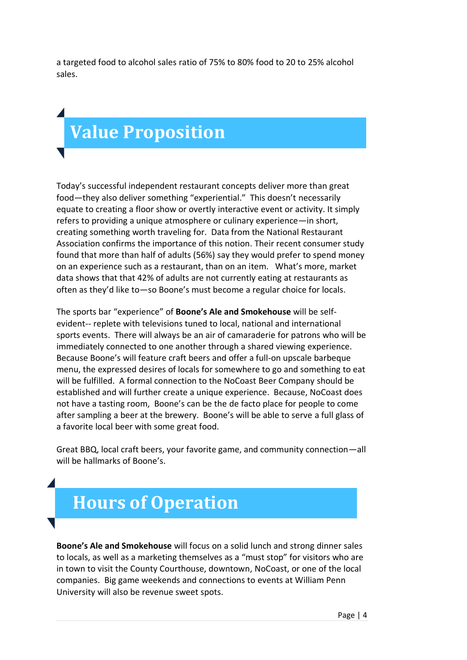a targeted food to alcohol sales ratio of 75% to 80% food to 20 to 25% alcohol sales.

# **Value Proposition**

Today's successful independent restaurant concepts deliver more than great food—they also deliver something "experiential." This doesn't necessarily equate to creating a floor show or overtly interactive event or activity. It simply refers to providing a unique atmosphere or culinary experience—in short, creating something worth traveling for. Data from the National Restaurant Association confirms the importance of this notion. Their recent consumer study found that more than half of adults (56%) say they would prefer to spend money on an experience such as a restaurant, than on an item. What's more, market data shows that that 42% of adults are not currently eating at restaurants as often as they'd like to—so Boone's must become a regular choice for locals.

The sports bar "experience" of **Boone's Ale and Smokehouse** will be selfevident-- replete with televisions tuned to local, national and international sports events. There will always be an air of camaraderie for patrons who will be immediately connected to one another through a shared viewing experience. Because Boone's will feature craft beers and offer a full-on upscale barbeque menu, the expressed desires of locals for somewhere to go and something to eat will be fulfilled. A formal connection to the NoCoast Beer Company should be established and will further create a unique experience. Because, NoCoast does not have a tasting room, Boone's can be the de facto place for people to come after sampling a beer at the brewery. Boone's will be able to serve a full glass of a favorite local beer with some great food.

Great BBQ, local craft beers, your favorite game, and community connection—all will be hallmarks of Boone's.

### **Hours of Operation**

**Boone's Ale and Smokehouse** will focus on a solid lunch and strong dinner sales to locals, as well as a marketing themselves as a "must stop" for visitors who are in town to visit the County Courthouse, downtown, NoCoast, or one of the local companies. Big game weekends and connections to events at William Penn University will also be revenue sweet spots.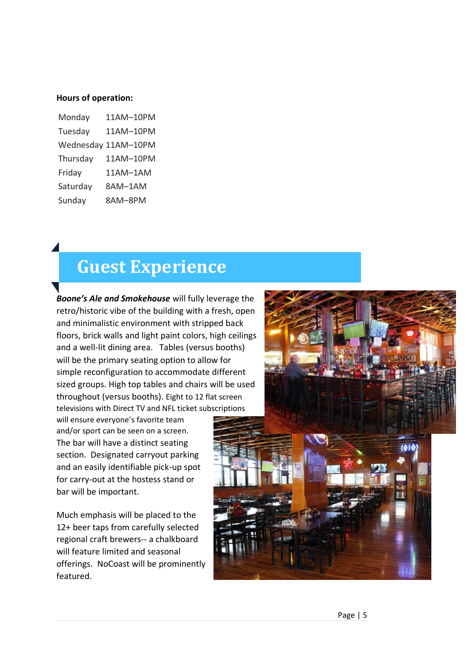#### **Hours of operation:**

| Monday   | 11AM-10PM           |
|----------|---------------------|
| Tuesday  | 11AM-10PM           |
|          | Wednesday 11AM-10PM |
| Thursday | 11AM-10PM           |
| Friday   | 11AM-1AM            |
| Saturday | 8AM-1AM             |
| Sunday   | 8AM-8PM             |

#### **Guest Experience**

*Boone's Ale and Smokehouse* will fully leverage the retro/historic vibe of the building with a fresh, open and minimalistic environment with stripped back floors, brick walls and light paint colors, high ceilings and a well-lit dining area. Tables (versus booths) will be the primary seating option to allow for simple reconfiguration to accommodate different sized groups. High top tables and chairs will be used throughout (versus booths). Eight to 12 flat screen televisions with Direct TV and NFL ticket subscriptions

will ensure everyone's favorite team and/or sport can be seen on a screen. The bar will have a distinct seating section. Designated carryout parking and an easily identifiable pick-up spot for carry-out at the hostess stand or bar will be important.

Much emphasis will be placed to the 12+ beer taps from carefully selected regional craft brewers-- a chalkboard will feature limited and seasonal offerings. NoCoast will be prominently featured.

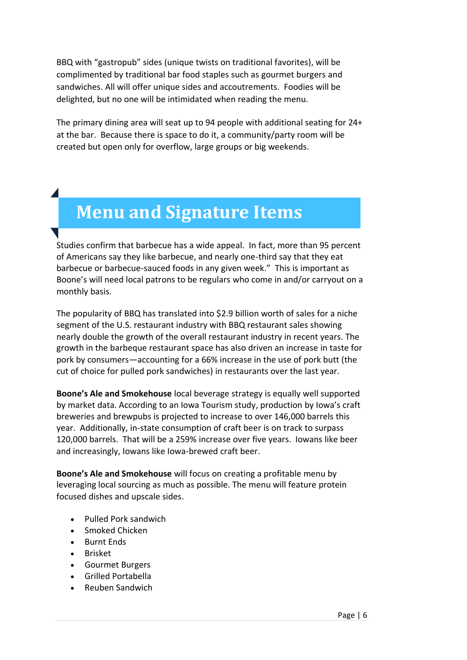BBQ with "gastropub" sides (unique twists on traditional favorites), will be complimented by traditional bar food staples such as gourmet burgers and sandwiches. All will offer unique sides and accoutrements. Foodies will be delighted, but no one will be intimidated when reading the menu.

The primary dining area will seat up to 94 people with additional seating for 24+ at the bar. Because there is space to do it, a community/party room will be created but open only for overflow, large groups or big weekends.

### **Menu and Signature Items**

Studies confirm that barbecue has a wide appeal. In fact, more than 95 percent of Americans say they like barbecue, and nearly one-third say that they eat barbecue or barbecue-sauced foods in any given week." This is important as Boone's will need local patrons to be regulars who come in and/or carryout on a monthly basis.

The popularity of BBQ has translated into \$2.9 billion worth of sales for a niche segment of the U.S. restaurant industry with BBQ restaurant sales showing nearly double the growth of the overall restaurant industry in recent years. The growth in the barbeque restaurant space has also driven an increase in taste for pork by consumers—accounting for a 66% increase in the use of pork butt (the cut of choice for pulled pork sandwiches) in restaurants over the last year.

**Boone's Ale and Smokehouse** local beverage strategy is equally well supported by market data. According to an Iowa Tourism study, production by Iowa's craft breweries and brewpubs is projected to increase to over 146,000 barrels this year. Additionally, in-state consumption of craft beer is on track to surpass 120,000 barrels. That will be a 259% increase over five years. Iowans like beer and increasingly, Iowans like Iowa-brewed craft beer.

**Boone's Ale and Smokehouse** will focus on creating a profitable menu by leveraging local sourcing as much as possible. The menu will feature protein focused dishes and upscale sides.

- Pulled Pork sandwich
- Smoked Chicken
- Burnt Ends
- Brisket
- Gourmet Burgers
- Grilled Portabella
- Reuben Sandwich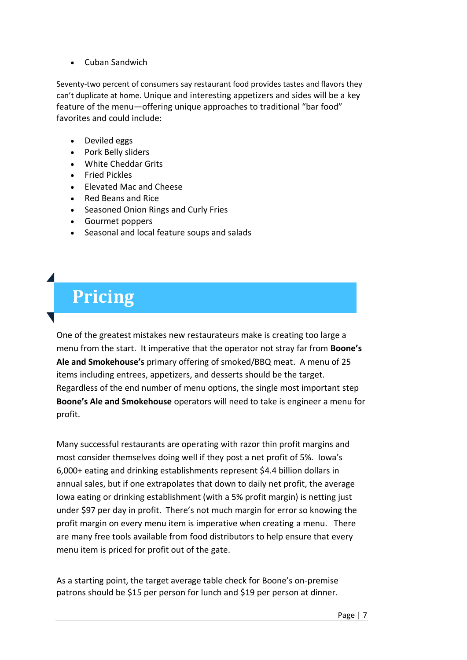• Cuban Sandwich

Seventy-two percent of consumers say restaurant food provides tastes and flavors they can't duplicate at home. Unique and interesting appetizers and sides will be a key feature of the menu—offering unique approaches to traditional "bar food" favorites and could include:

- Deviled eggs
- Pork Belly sliders
- White Cheddar Grits
- Fried Pickles
- Elevated Mac and Cheese
- Red Beans and Rice
- Seasoned Onion Rings and Curly Fries
- Gourmet poppers
- Seasonal and local feature soups and salads

## **Pricing**

One of the greatest mistakes new restaurateurs make is creating too large a menu from the start. It imperative that the operator not stray far from **Boone's Ale and Smokehouse's** primary offering of smoked/BBQ meat. A menu of 25 items including entrees, appetizers, and desserts should be the target. Regardless of the end number of menu options, the single most important step **Boone's Ale and Smokehouse** operators will need to take is engineer a menu for profit.

Many successful restaurants are operating with razor thin profit margins and most consider themselves doing well if they post a net profit of 5%. Iowa's 6,000+ eating and drinking establishments represent \$4.4 billion dollars in annual sales, but if one extrapolates that down to daily net profit, the average Iowa eating or drinking establishment (with a 5% profit margin) is netting just under \$97 per day in profit. There's not much margin for error so knowing the profit margin on every menu item is imperative when creating a menu. There are many free tools available from food distributors to help ensure that every menu item is priced for profit out of the gate.

As a starting point, the target average table check for Boone's on-premise patrons should be \$15 per person for lunch and \$19 per person at dinner.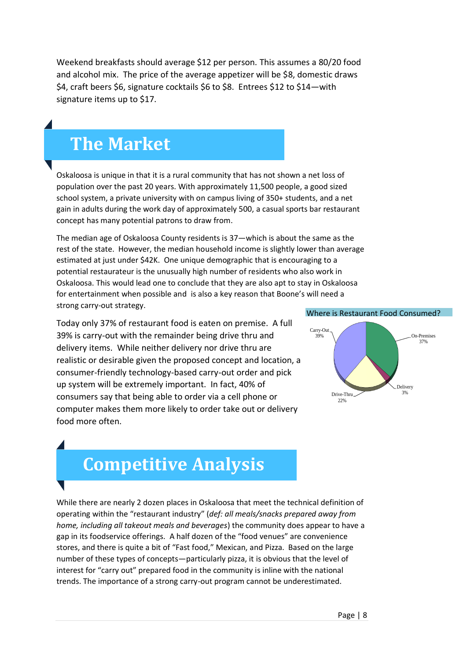Weekend breakfasts should average \$12 per person. This assumes a 80/20 food and alcohol mix. The price of the average appetizer will be \$8, domestic draws \$4, craft beers \$6, signature cocktails \$6 to \$8. Entrees \$12 to \$14—with signature items up to \$17.

#### **The Market**

Oskaloosa is unique in that it is a rural community that has not shown a net loss of population over the past 20 years. With approximately 11,500 people, a good sized school system, a private university with on campus living of 350+ students, and a net gain in adults during the work day of approximately 500, a casual sports bar restaurant concept has many potential patrons to draw from.

The median age of Oskaloosa County residents is 37—which is about the same as the rest of the state. However, the median household income is slightly lower than average estimated at just under \$42K. One unique demographic that is encouraging to a potential restaurateur is the unusually high number of residents who also work in Oskaloosa. This would lead one to conclude that they are also apt to stay in Oskaloosa for entertainment when possible and is also a key reason that Boone's will need a strong carry-out strategy.

Today only 37% of restaurant food is eaten on premise. A full 39% is carry-out with the remainder being drive thru and delivery items. While neither delivery nor drive thru are realistic or desirable given the proposed concept and location, a consumer-friendly technology-based carry-out order and pick up system will be extremely important. In fact, 40% of consumers say that being able to order via a cell phone or computer makes them more likely to order take out or delivery food more often.

#### Where is Restaurant Food Consumed?



## **Competitive Analysis**

While there are nearly 2 dozen places in Oskaloosa that meet the technical definition of operating within the "restaurant industry" (*def: all meals/snacks prepared away from home, including all takeout meals and beverages*) the community does appear to have a gap in its foodservice offerings. A half dozen of the "food venues" are convenience stores, and there is quite a bit of "Fast food," Mexican, and Pizza. Based on the large number of these types of concepts—particularly pizza, it is obvious that the level of interest for "carry out" prepared food in the community is inline with the national trends. The importance of a strong carry-out program cannot be underestimated.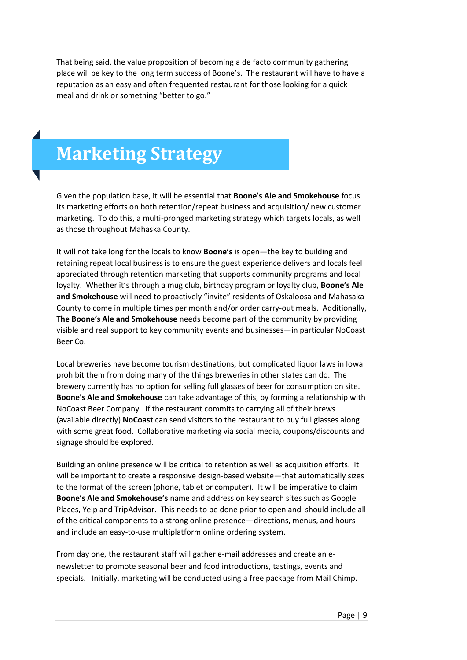That being said, the value proposition of becoming a de facto community gathering place will be key to the long term success of Boone's. The restaurant will have to have a reputation as an easy and often frequented restaurant for those looking for a quick meal and drink or something "better to go."

### **Marketing Strategy**

Given the population base, it will be essential that **Boone's Ale and Smokehouse** focus its marketing efforts on both retention/repeat business and acquisition/ new customer marketing. To do this, a multi-pronged marketing strategy which targets locals, as well as those throughout Mahaska County.

It will not take long for the locals to know **Boone's** is open—the key to building and retaining repeat local business is to ensure the guest experience delivers and locals feel appreciated through retention marketing that supports community programs and local loyalty. Whether it's through a mug club, birthday program or loyalty club, **Boone's Ale and Smokehouse** will need to proactively "invite" residents of Oskaloosa and Mahasaka County to come in multiple times per month and/or order carry-out meals. Additionally, T**he Boone's Ale and Smokehouse** needs become part of the community by providing visible and real support to key community events and businesses—in particular NoCoast Beer Co.

Local breweries have become tourism destinations, but complicated liquor laws in Iowa prohibit them from doing many of the things breweries in other states can do. The brewery currently has no option for selling full glasses of beer for consumption on site. **Boone's Ale and Smokehouse** can take advantage of this, by forming a relationship with NoCoast Beer Company. If the restaurant commits to carrying all of their brews (available directly) **NoCoast** can send visitors to the restaurant to buy full glasses along with some great food. Collaborative marketing via social media, coupons/discounts and signage should be explored.

Building an online presence will be critical to retention as well as acquisition efforts. It will be important to create a responsive design-based website—that automatically sizes to the format of the screen (phone, tablet or computer). It will be imperative to claim **Boone's Ale and Smokehouse's** name and address on key search sites such as Google Places, Yelp and TripAdvisor. This needs to be done prior to open and should include all of the critical components to a strong online presence—directions, menus, and hours and include an easy-to-use multiplatform online ordering system.

From day one, the restaurant staff will gather e-mail addresses and create an enewsletter to promote seasonal beer and food introductions, tastings, events and specials. Initially, marketing will be conducted using a free package from Mail Chimp.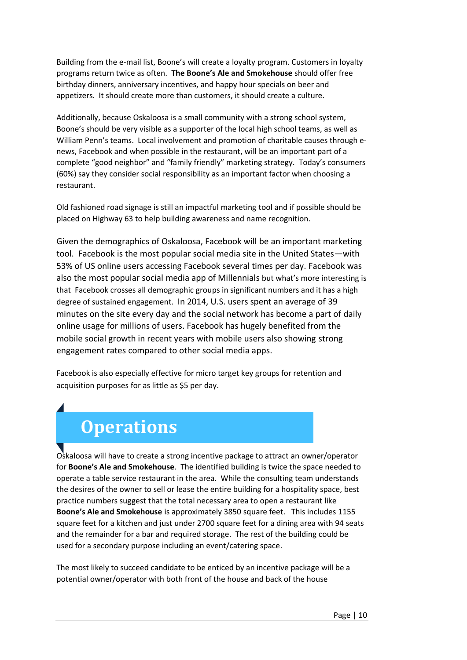Building from the e-mail list, Boone's will create a loyalty program. Customers in [loyalty](http://fitsmallbusiness.com/create-loyalty-program/)  [programs](http://fitsmallbusiness.com/create-loyalty-program/) return twice as often. **The Boone's Ale and Smokehouse** should offer free birthday dinners, anniversary incentives, and happy hour specials on beer and appetizers. It should create more than customers, it should create a culture.

Additionally, because Oskaloosa is a small community with a strong school system, Boone's should be very visible as a supporter of the local high school teams, as well as William Penn's teams. Local involvement and promotion of charitable causes through enews, Facebook and when possible in the restaurant, will be an important part of a complete "good neighbor" and "family friendly" marketing strategy. Today's consumers (60%) say they consider social responsibility as an important factor when choosing a restaurant.

Old fashioned road signage is still an impactful marketing tool and if possible should be placed on Highway 63 to help building awareness and name recognition.

Given the demographics of Oskaloosa, Facebook will be an important marketing tool. Facebook is the most popular social media site in the United States—with 53% of US online users accessing Facebook several times per day. Facebook was also the [most popular social media app of Millennials](https://www.statista.com/statistics/266280/social-media-apps-us-millennials/) but what's more interesting is that Facebook crosses all demographic groups in significant numbers and it has a high degree of sustained engagement. In 2014, U.S. users spent an average of [39](https://www.statista.com/statistics/324290/us-users-daily-facebook-minutes/)  [minutes on the site every day](https://www.statista.com/statistics/324290/us-users-daily-facebook-minutes/) and the social network has become a part of [daily](https://www.statista.com/statistics/346167/facebook-global-dau/)  [online usage](https://www.statista.com/statistics/346167/facebook-global-dau/) for millions of users. Facebook has hugely benefited from the mobile social growth in recent years with mobile users also showing [strong](https://www.statista.com/statistics/290492/mobile-media-apps-daily-engagement-rate-of-us-users/)  [engagement rates](https://www.statista.com/statistics/290492/mobile-media-apps-daily-engagement-rate-of-us-users/) compared to other social media apps.

Facebook is also especially effective for micro target key groups for retention and acquisition purposes for as little as \$5 per day.

### **Operations**

Oskaloosa will have to create a strong incentive package to attract an owner/operator for **Boone's Ale and Smokehouse**. The identified building is twice the space needed to operate a table service restaurant in the area. While the consulting team understands the desires of the owner to sell or lease the entire building for a hospitality space, best practice numbers suggest that the total necessary area to open a restaurant like **Boone's Ale and Smokehouse** is approximately 3850 square feet. This includes 1155 square feet for a kitchen and just under 2700 square feet for a dining area with 94 seats and the remainder for a bar and required storage. The rest of the building could be used for a secondary purpose including an event/catering space.

The most likely to succeed candidate to be enticed by an incentive package will be a potential owner/operator with both front of the house and back of the house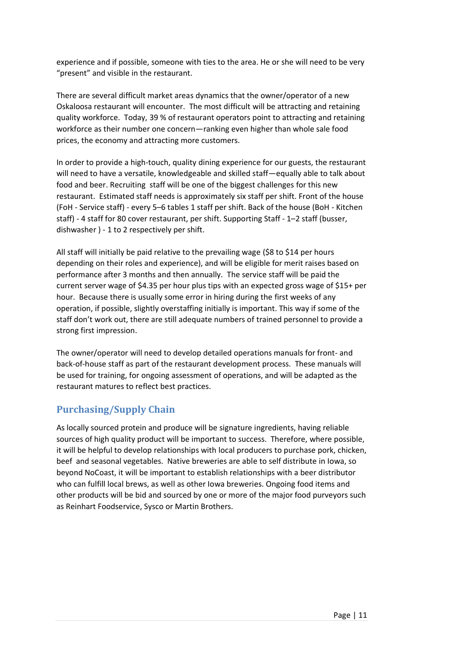experience and if possible, someone with ties to the area. He or she will need to be very "present" and visible in the restaurant.

There are several difficult market areas dynamics that the owner/operator of a new Oskaloosa restaurant will encounter. The most difficult will be attracting and retaining quality workforce. Today, 39 % of restaurant operators point to attracting and retaining workforce as their number one concern—ranking even higher than whole sale food prices, the economy and attracting more customers.

In order to provide a high-touch, quality dining experience for our guests, the restaurant will need to have a versatile, knowledgeable and skilled staff—equally able to talk about food and beer. Recruiting staff will be one of the biggest challenges for this new restaurant. Estimated staff needs is approximately six staff per shift. Front of the house (FoH - Service staff) - every 5–6 tables 1 staff per shift. Back of the house (BoH - Kitchen staff) - 4 staff for 80 cover restaurant, per shift. Supporting Staff - 1–2 staff (busser, dishwasher ) - 1 to 2 respectively per shift.

All staff will initially be paid relative to the prevailing wage (\$8 to \$14 per hours depending on their roles and experience), and will be eligible for merit raises based on performance after 3 months and then annually. The service staff will be paid the current server wage of \$4.35 per hour plus tips with an expected gross wage of \$15+ per hour. Because there is usually some error in hiring during the first weeks of any operation, if possible, slightly overstaffing initially is important. This way if some of the staff don't work out, there are still adequate numbers of trained personnel to provide a strong first impression.

The owner/operator will need to develop detailed operations manuals for front- and back-of-house staff as part of the restaurant development process. These manuals will be used for training, for ongoing assessment of operations, and will be adapted as the restaurant matures to reflect best practices.

#### **Purchasing/Supply Chain**

As locally sourced protein and produce will be signature ingredients, having reliable sources of high quality product will be important to success. Therefore, where possible, it will be helpful to develop relationships with local producers to purchase pork, chicken, beef and seasonal vegetables. Native breweries are able to self distribute in Iowa, so beyond NoCoast, it will be important to establish relationships with a beer distributor who can fulfill local brews, as well as other Iowa breweries. Ongoing food items and other products will be bid and sourced by one or more of the major food purveyors such as Reinhart Foodservice, Sysco or Martin Brothers.